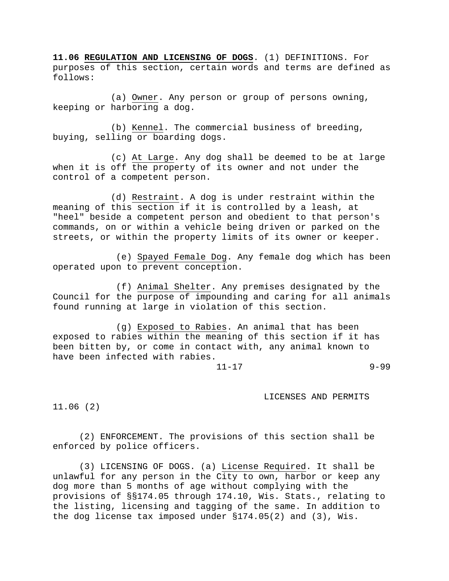**11.06 REGULATION AND LICENSING OF DOGS**. (1) DEFINITIONS. For purposes of this section, certain words and terms are defined as follows:

(a) Owner. Any person or group of persons owning, keeping or harboring a dog.

(b) Kennel. The commercial business of breeding, buying, selling or boarding dogs.

(c) At Large. Any dog shall be deemed to be at large when it is off the property of its owner and not under the control of a competent person.

(d) Restraint. A dog is under restraint within the meaning of this section if it is controlled by a leash, at "heel" beside a competent person and obedient to that person's commands, on or within a vehicle being driven or parked on the streets, or within the property limits of its owner or keeper.

(e) Spayed Female Dog. Any female dog which has been operated upon to prevent conception.

(f) Animal Shelter. Any premises designated by the Council for the purpose of impounding and caring for all animals found running at large in violation of this section.

(g) Exposed to Rabies. An animal that has been exposed to rabies within the meaning of this section if it has been bitten by, or come in contact with, any animal known to have been infected with rabies.

11-17 9-99

LICENSES AND PERMITS

11.06 (2)

(2) ENFORCEMENT. The provisions of this section shall be enforced by police officers.

(3) LICENSING OF DOGS. (a) License Required. It shall be unlawful for any person in the City to own, harbor or keep any dog more than 5 months of age without complying with the provisions of §§174.05 through 174.10, Wis. Stats., relating to the listing, licensing and tagging of the same. In addition to the dog license tax imposed under §174.05(2) and (3), Wis.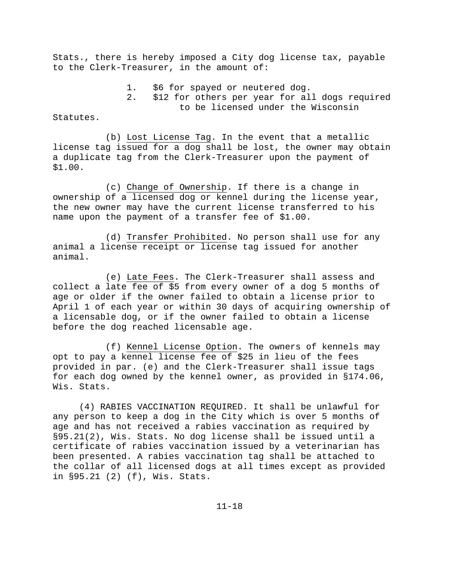Stats., there is hereby imposed a City dog license tax, payable to the Clerk-Treasurer, in the amount of:

> 1. \$6 for spayed or neutered dog. 2. \$12 for others per year for all dogs required to be licensed under the Wisconsin

Statutes.

(b) Lost License Tag. In the event that a metallic license tag issued for a dog shall be lost, the owner may obtain a duplicate tag from the Clerk-Treasurer upon the payment of \$1.00.

(c) Change of Ownership. If there is a change in ownership of a licensed dog or kennel during the license year, the new owner may have the current license transferred to his name upon the payment of a transfer fee of \$1.00.

(d) Transfer Prohibited. No person shall use for any animal a license receipt or license tag issued for another animal.

(e) Late Fees. The Clerk-Treasurer shall assess and collect a late fee of \$5 from every owner of a dog 5 months of age or older if the owner failed to obtain a license prior to April 1 of each year or within 30 days of acquiring ownership of a licensable dog, or if the owner failed to obtain a license before the dog reached licensable age.

(f) Kennel License Option. The owners of kennels may opt to pay a kennel license fee of \$25 in lieu of the fees provided in par. (e) and the Clerk-Treasurer shall issue tags for each dog owned by the kennel owner, as provided in §174.06, Wis. Stats.

(4) RABIES VACCINATION REQUIRED. It shall be unlawful for any person to keep a dog in the City which is over 5 months of age and has not received a rabies vaccination as required by §95.21(2), Wis. Stats. No dog license shall be issued until a certificate of rabies vaccination issued by a veterinarian has been presented. A rabies vaccination tag shall be attached to the collar of all licensed dogs at all times except as provided in §95.21 (2) (f), Wis. Stats.

11-18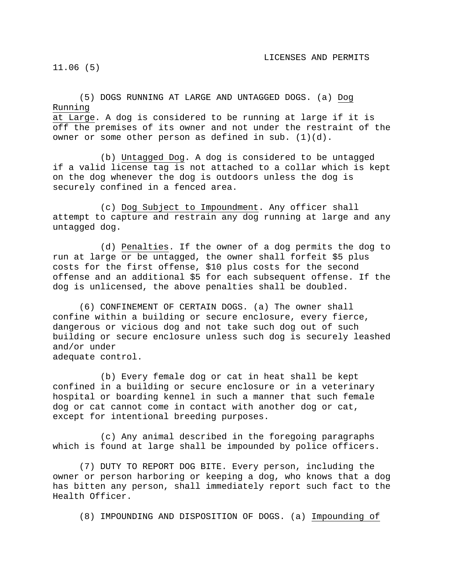11.06 (5)

(5) DOGS RUNNING AT LARGE AND UNTAGGED DOGS. (a) Dog Running at Large. A dog is considered to be running at large if it is off the premises of its owner and not under the restraint of the owner or some other person as defined in sub. (1)(d).

(b) Untagged Dog. A dog is considered to be untagged if a valid license tag is not attached to a collar which is kept on the dog whenever the dog is outdoors unless the dog is securely confined in a fenced area.

(c) Dog Subject to Impoundment. Any officer shall attempt to capture and restrain any dog running at large and any untagged dog.

(d) Penalties. If the owner of a dog permits the dog to run at large or be untagged, the owner shall forfeit \$5 plus costs for the first offense, \$10 plus costs for the second offense and an additional \$5 for each subsequent offense. If the dog is unlicensed, the above penalties shall be doubled.

(6) CONFINEMENT OF CERTAIN DOGS. (a) The owner shall confine within a building or secure enclosure, every fierce, dangerous or vicious dog and not take such dog out of such building or secure enclosure unless such dog is securely leashed and/or under adequate control.

(b) Every female dog or cat in heat shall be kept confined in a building or secure enclosure or in a veterinary hospital or boarding kennel in such a manner that such female dog or cat cannot come in contact with another dog or cat, except for intentional breeding purposes.

(c) Any animal described in the foregoing paragraphs which is found at large shall be impounded by police officers.

(7) DUTY TO REPORT DOG BITE. Every person, including the owner or person harboring or keeping a dog, who knows that a dog has bitten any person, shall immediately report such fact to the Health Officer.

(8) IMPOUNDING AND DISPOSITION OF DOGS. (a) Impounding of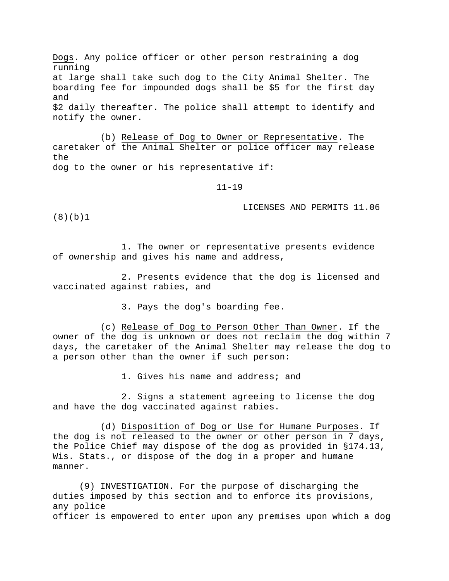Dogs. Any police officer or other person restraining a dog running at large shall take such dog to the City Animal Shelter. The boarding fee for impounded dogs shall be \$5 for the first day and \$2 daily thereafter. The police shall attempt to identify and notify the owner.

(b) Release of Dog to Owner or Representative. The caretaker of the Animal Shelter or police officer may release the dog to the owner or his representative if:

11-19

LICENSES AND PERMITS 11.06

(8)(b)1

1. The owner or representative presents evidence of ownership and gives his name and address,

2. Presents evidence that the dog is licensed and vaccinated against rabies, and

3. Pays the dog's boarding fee.

(c) Release of Dog to Person Other Than Owner. If the owner of the dog is unknown or does not reclaim the dog within 7 days, the caretaker of the Animal Shelter may release the dog to a person other than the owner if such person:

1. Gives his name and address; and

2. Signs a statement agreeing to license the dog and have the dog vaccinated against rabies.

(d) Disposition of Dog or Use for Humane Purposes. If the dog is not released to the owner or other person in 7 days, the Police Chief may dispose of the dog as provided in §174.13, Wis. Stats., or dispose of the dog in a proper and humane manner.

(9) INVESTIGATION. For the purpose of discharging the duties imposed by this section and to enforce its provisions, any police officer is empowered to enter upon any premises upon which a dog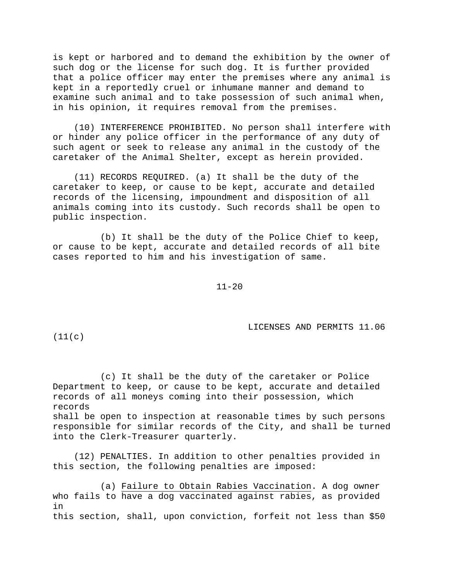is kept or harbored and to demand the exhibition by the owner of such dog or the license for such dog. It is further provided that a police officer may enter the premises where any animal is kept in a reportedly cruel or inhumane manner and demand to examine such animal and to take possession of such animal when, in his opinion, it requires removal from the premises.

(10) INTERFERENCE PROHIBITED. No person shall interfere with or hinder any police officer in the performance of any duty of such agent or seek to release any animal in the custody of the caretaker of the Animal Shelter, except as herein provided.

(11) RECORDS REQUIRED. (a) It shall be the duty of the caretaker to keep, or cause to be kept, accurate and detailed records of the licensing, impoundment and disposition of all animals coming into its custody. Such records shall be open to public inspection.

(b) It shall be the duty of the Police Chief to keep, or cause to be kept, accurate and detailed records of all bite cases reported to him and his investigation of same.

11-20

LICENSES AND PERMITS 11.06

 $(11(c))$ 

(c) It shall be the duty of the caretaker or Police Department to keep, or cause to be kept, accurate and detailed records of all moneys coming into their possession, which records shall be open to inspection at reasonable times by such persons responsible for similar records of the City, and shall be turned into the Clerk-Treasurer quarterly.

(12) PENALTIES. In addition to other penalties provided in this section, the following penalties are imposed:

(a) Failure to Obtain Rabies Vaccination. A dog owner who fails to have a dog vaccinated against rabies, as provided in this section, shall, upon conviction, forfeit not less than \$50